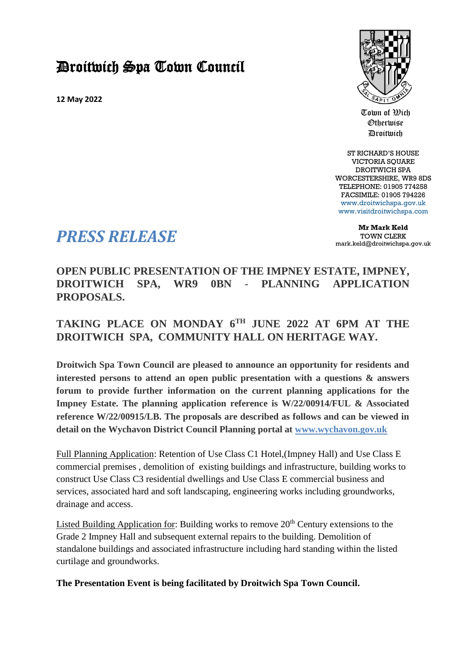## Droitwich Spa Town Council

**12 May 2022**



Town of Wich Otherwise Droitwich

ST RICHARD'S HOUSE VICTORIA SOUARE DROITWICH SPA WORCESTERSHIRE, WR9 8DS TELEPHONE: 01905 774258 FACSIMILE: 01905 794226 [www.droitwichspa.gov.uk](http://www.droitwichspa.gov.uk/) [www.visitdroitwichspa.com](http://www.visitdroitwichspa.com/)

**Mr Mark Keld** TOWN CLERK mark.keld@droitwichspa.gov.uk

## *PRESS RELEASE*

**OPEN PUBLIC PRESENTATION OF THE IMPNEY ESTATE, IMPNEY, DROITWICH SPA, WR9 0BN** - **PLANNING APPLICATION PROPOSALS.** 

## **TAKING PLACE ON MONDAY 6TH JUNE 2022 AT 6PM AT THE DROITWICH SPA, COMMUNITY HALL ON HERITAGE WAY.**

**Droitwich Spa Town Council are pleased to announce an opportunity for residents and interested persons to attend an open public presentation with a questions & answers forum to provide further information on the current planning applications for the Impney Estate. The planning application reference is W/22/00914/FUL & Associated reference W/22/00915/LB. The proposals are described as follows and can be viewed in detail on the Wychavon District Council Planning portal at www.wychavon.gov.uk**

Full Planning Application: Retention of Use Class C1 Hotel,(Impney Hall) and Use Class E commercial premises , demolition of existing buildings and infrastructure, building works to construct Use Class C3 residential dwellings and Use Class E commercial business and services, associated hard and soft landscaping, engineering works including groundworks, drainage and access.

Listed Building Application for: Building works to remove  $20<sup>th</sup>$  Century extensions to the Grade 2 Impney Hall and subsequent external repairs to the building. Demolition of standalone buildings and associated infrastructure including hard standing within the listed curtilage and groundworks.

**The Presentation Event is being facilitated by Droitwich Spa Town Council.**